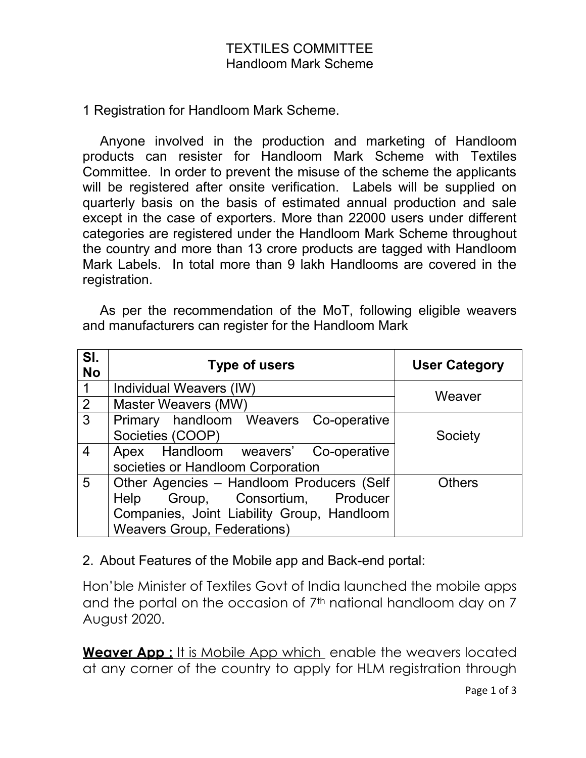1 Registration for Handloom Mark Scheme.

Anyone involved in the production and marketing of Handloom products can resister for Handloom Mark Scheme with Textiles Committee. In order to prevent the misuse of the scheme the applicants will be registered after onsite verification. Labels will be supplied on quarterly basis on the basis of estimated annual production and sale except in the case of exporters. More than 22000 users under different categories are registered under the Handloom Mark Scheme throughout the country and more than 13 crore products are tagged with Handloom Mark Labels. In total more than 9 lakh Handlooms are covered in the registration.

As per the recommendation of the MoT, following eligible weavers and manufacturers can register for the Handloom Mark

| SI.<br><b>No</b> | <b>Type of users</b>                       | <b>User Category</b> |
|------------------|--------------------------------------------|----------------------|
| $\overline{1}$   | Individual Weavers (IW)                    | Weaver               |
| 2                | Master Weavers (MW)                        |                      |
| $\mathbf{3}$     | Primary handloom Weavers Co-operative      |                      |
|                  | Societies (COOP)                           | Society              |
| $\overline{4}$   | Apex Handloom weavers' Co-operative        |                      |
|                  | societies or Handloom Corporation          |                      |
| 5                | Other Agencies - Handloom Producers (Self  | <b>Others</b>        |
|                  | Group, Consortium, Producer<br>Help        |                      |
|                  | Companies, Joint Liability Group, Handloom |                      |
|                  | <b>Weavers Group, Federations)</b>         |                      |

## 2. About Features of the Mobile app and Back-end portal:

Hon'ble Minister of Textiles Govt of India launched the mobile apps and the portal on the occasion of 7<sup>th</sup> national handloom day on 7 August 2020.

**Weaver App :** It is Mobile App which enable the weavers located at any corner of the country to apply for HLM registration through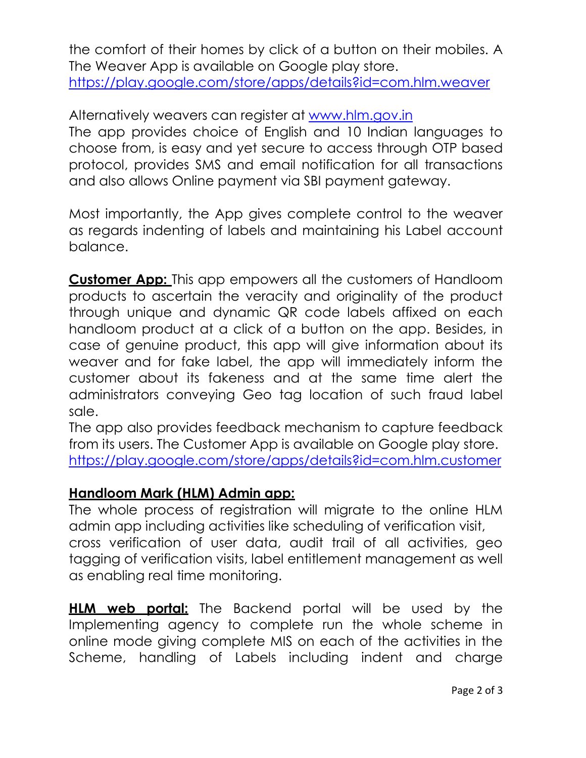the comfort of their homes by click of a button on their mobiles. A The Weaver App is available on Google play store. <https://play.google.com/store/apps/details?id=com.hlm.weaver>

Alternatively weavers can register at [www.hlm.gov.in](http://www.hlm.gov.in/) The app provides choice of English and 10 Indian languages to choose from, is easy and yet secure to access through OTP based protocol, provides SMS and email notification for all transactions and also allows Online payment via SBI payment gateway.

Most importantly, the App gives complete control to the weaver as regards indenting of labels and maintaining his Label account balance.

**Customer App:** This app empowers all the customers of Handloom products to ascertain the veracity and originality of the product through unique and dynamic QR code labels affixed on each handloom product at a click of a button on the app. Besides, in case of genuine product, this app will give information about its weaver and for fake label, the app will immediately inform the customer about its fakeness and at the same time alert the administrators conveying Geo tag location of such fraud label sale.

The app also provides feedback mechanism to capture feedback from its users. The Customer App is available on Google play store. <https://play.google.com/store/apps/details?id=com.hlm.customer>

## **Handloom Mark (HLM) Admin app:**

The whole process of registration will migrate to the online HLM admin app including activities like scheduling of verification visit, cross verification of user data, audit trail of all activities, geo tagging of verification visits, label entitlement management as well as enabling real time monitoring.

**HLM web portal:** The Backend portal will be used by the Implementing agency to complete run the whole scheme in online mode giving complete MIS on each of the activities in the Scheme, handling of Labels including indent and charge